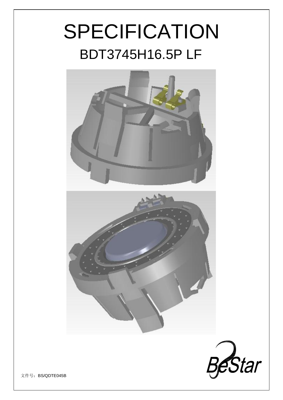# SPECIFICATION BDT3745H16.5P LF



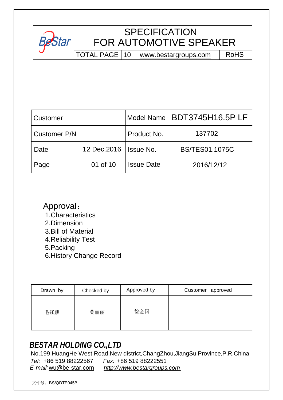

# **SPECIFICATION** FOR AUTOMOTIVE SPEAKER

TOTAL PAGE | 10 | [www.bestargroups.com](http://www.bestargroups.com) | RoHS

| Customer            |                          |                   | Model Name BDT3745H16.5PLF |
|---------------------|--------------------------|-------------------|----------------------------|
| <b>Customer P/N</b> |                          | Product No.       | 137702                     |
| Date                | 12 Dec. 2016   Issue No. |                   | <b>BS/TES01.1075C</b>      |
| Page                | 01 of 10                 | <b>Issue Date</b> | 2016/12/12                 |

Approval: 1.Characteristics 2.Dimension 3.Bill of Material 4.Reliability Test 5.Packing 6.History Change Record

| Drawn by | Checked by | Approved by | Customer approved |
|----------|------------|-------------|-------------------|
| 毛钰麒      | 莫丽丽        | 徐金国         |                   |

# *BESTAR HOLDING CO.,LTD*

 No.199 HuangHe West Road,New district,ChangZhou,JiangSu Province,P.R.China *Tel:* +86 519 88222567 *Fax:* +86 519 88222551 *E-mail:*[wu@be-star.com](mailto:wu@be-star.com) *<http://www.bestargroups.com>*

文件号:BS/QDTE045B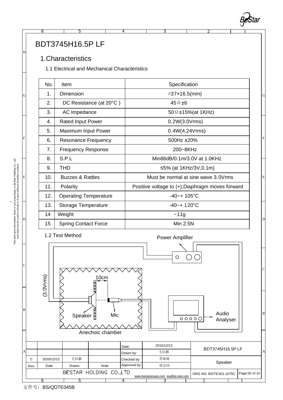### BDT3745H16.5P LF

#### 1.Characteristics

1.1 Electrical and Mechanical Characteristics

6 5 4 3

| No. | <b>Item</b>                  | Specification                                       |   |  |  |
|-----|------------------------------|-----------------------------------------------------|---|--|--|
| 1.  | Dimension                    | <i></i> 37×16.5(mm)                                 |   |  |  |
| 2.  | DC Resistance (at 20°C)      | $45 \Omega \pm 6$                                   |   |  |  |
| 3.  | AC Impedance                 | 50 $\Omega$ ±15%(at 1KHz)                           |   |  |  |
| 4.  | <b>Rated Input Power</b>     | 0.2W(3.0Vrms)                                       |   |  |  |
| 5.  | Maximum Input Power          | 0.4W(4.24Vrms)                                      |   |  |  |
| 6.  | <b>Resonance Frequency</b>   | 500Hz ±20%                                          |   |  |  |
| 7.  | <b>Frequency Response</b>    | 200~8KHz                                            |   |  |  |
| 8.  | S.P.L                        | Min86dB/0.1m/3.0V at 1.0KHz                         |   |  |  |
| 9.  | <b>THD</b>                   | ≤5% (at 1KHz/3V,0.1m)                               |   |  |  |
| 10. | <b>Buzzes &amp; Rattles</b>  | Must be normal at sine wave 3.0Vrms                 | Ε |  |  |
| 11. | Polarity                     | Positive voltage to $(+)$ , Diaphragm moves forward |   |  |  |
| 12. | <b>Operating Temperature</b> | $-40-+105$ °C                                       |   |  |  |
| 13. | Storage Temperature          | $-40-+120^{\circ}C$                                 |   |  |  |
| 14  | Weight                       | ~11g                                                |   |  |  |
| 15  | <b>Spring Contact Force</b>  | Min 2.5N                                            |   |  |  |

2 1

**Bestar** 



This print and information there in are proprietary to BeStar Holding Co., Ltd.<br>and shall not be used in whole or in part without its written content *This print and information there in are proprietary to BeStar Holding Co., Ltd. and shall not be used in whole or in part without its written content*

D

E

F

G

H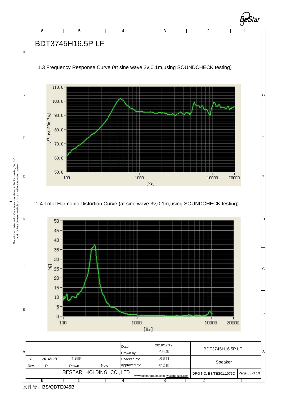

This print and information there in are proprietary to BeStar Holding Co., Ltd.<br>and shall not be used in whole or in part without its written content *This print and information there in are proprietary to BeStar Holding Co., Ltd. and shall not be used in whole or in part without its written content*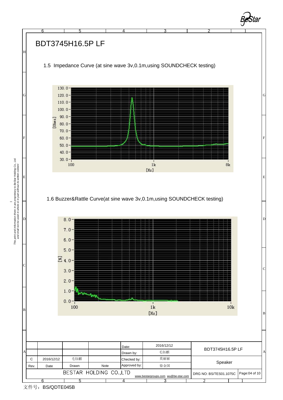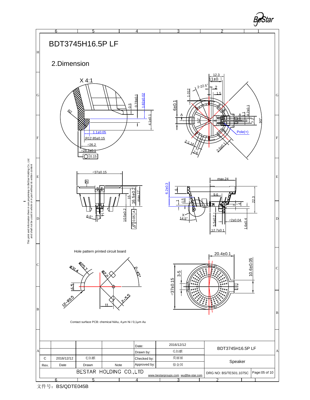

文件号: BS/QDTE045B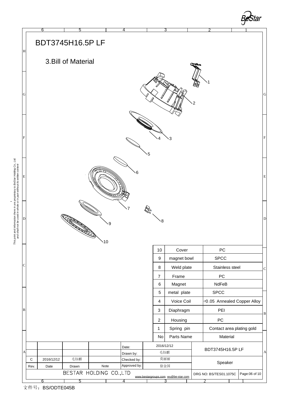

This print and information there in are proprietary to BeStar Holding Co., Ltd.<br>and shall not be used in whole or in part without its written content *This print and information there in are proprietary to BeStar Holding Co., Ltd. and shall not be used in whole or in part without its written content*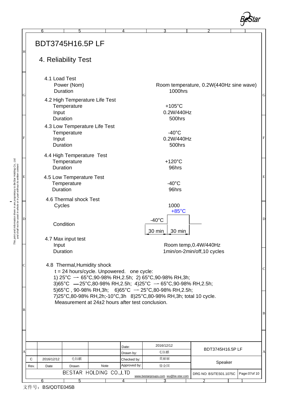

|              |                        | 6                  | 5                                        |      | 4                                                | 3                                                                                                                        |                                         |                |   |  |
|--------------|------------------------|--------------------|------------------------------------------|------|--------------------------------------------------|--------------------------------------------------------------------------------------------------------------------------|-----------------------------------------|----------------|---|--|
| H            | <b>BDT3745H16.5PLF</b> |                    |                                          |      |                                                  |                                                                                                                          |                                         |                |   |  |
|              |                        |                    | 4. Reliability Test                      |      |                                                  |                                                                                                                          |                                         |                |   |  |
|              |                        | 4.1 Load Test      |                                          |      |                                                  |                                                                                                                          |                                         |                |   |  |
|              |                        |                    | Power (Nom)<br>Duration                  |      |                                                  | 1000hrs                                                                                                                  | Room temperature, 0.2W(440Hz sine wave) |                |   |  |
| G            |                        |                    | 4.2 High Temperature Life Test           |      |                                                  |                                                                                                                          |                                         |                | G |  |
|              |                        |                    | Temperature                              |      |                                                  | $+105^{\circ}$ C                                                                                                         |                                         |                |   |  |
|              |                        | Input              | Duration                                 |      |                                                  | 0.2W/440Hz<br>500hrs                                                                                                     |                                         |                |   |  |
|              |                        |                    | 4.3 Low Temperature Life Test            |      |                                                  |                                                                                                                          |                                         |                |   |  |
|              |                        |                    | Temperature                              |      |                                                  | $-40^{\circ}$ C                                                                                                          |                                         |                |   |  |
| $\mathbf{F}$ |                        | Input              | Duration                                 |      |                                                  | 0.2W/440Hz<br>500hrs                                                                                                     |                                         |                | F |  |
|              |                        |                    |                                          |      |                                                  |                                                                                                                          |                                         |                |   |  |
|              |                        |                    | 4.4 High Temperature Test<br>Temperature |      |                                                  | $+120^{\circ}$ C                                                                                                         |                                         |                |   |  |
|              |                        |                    | Duration                                 |      |                                                  | 96hrs                                                                                                                    |                                         |                |   |  |
| E            |                        |                    | 4.5 Low Temperature Test                 |      |                                                  |                                                                                                                          |                                         |                | Ε |  |
|              |                        | Duration           | Temperature                              |      |                                                  | $-40^{\circ}$ C<br>96hrs                                                                                                 |                                         |                |   |  |
|              |                        |                    | 4.6 Thermal shock Test                   |      |                                                  |                                                                                                                          |                                         |                |   |  |
|              |                        | Cycles             |                                          |      |                                                  | 1000                                                                                                                     |                                         |                |   |  |
|              |                        |                    |                                          |      |                                                  | $+85^{\circ}$ C                                                                                                          |                                         |                |   |  |
| D            |                        |                    | Condition                                |      |                                                  | $-40^{\circ}$ C                                                                                                          |                                         |                | D |  |
|              |                        |                    |                                          |      |                                                  | 30 min<br>$30 \text{ min}$                                                                                               |                                         |                |   |  |
|              |                        | Input              | 4.7 Max input test                       |      |                                                  |                                                                                                                          | Room temp, 0.4W/440Hz                   |                |   |  |
|              |                        |                    | Duration                                 |      |                                                  | 1min/on-2min/off, 10 cycles                                                                                              |                                         |                |   |  |
|              |                        |                    |                                          |      |                                                  |                                                                                                                          |                                         |                |   |  |
| C            |                        |                    | 4.8 Thermal, Humidity shock              |      | $t = 24$ hours/cycle. Unpowered. one cycle:      |                                                                                                                          |                                         |                |   |  |
|              |                        |                    |                                          |      |                                                  | 1) $25^{\circ}$ C $-$ 65 $^{\circ}$ C, 90-98% RH, 2.5h; 2) 65 $^{\circ}$ C, 90-98% RH, 3h;                               |                                         |                |   |  |
|              |                        |                    |                                          |      |                                                  | 3)65°C $-25$ °C,80-98% RH,2.5h; 4)25°C $-65$ °C,90-98% RH,2.5h;<br>5)65°C, 90-98% RH,3h; 6)65°C $-$ 25°C,80-98% RH,2.5h; |                                         |                |   |  |
|              |                        |                    |                                          |      |                                                  | 7)25°C,80-98% RH,2h;-10°C,3h 8)25°C,80-98% RH,3h; total 10 cycle.                                                        |                                         |                |   |  |
|              |                        |                    |                                          |      | Measurement at 24±2 hours after test conclusion. |                                                                                                                          |                                         |                |   |  |
| B            |                        |                    |                                          |      |                                                  |                                                                                                                          |                                         |                |   |  |
|              |                        |                    |                                          |      |                                                  |                                                                                                                          |                                         |                |   |  |
|              |                        |                    |                                          |      |                                                  |                                                                                                                          |                                         |                |   |  |
|              |                        |                    |                                          |      | Date:                                            | 2016/12/12                                                                                                               | BDT3745H16.5PLF                         |                |   |  |
| Α            | C                      |                    | 毛钰麒                                      |      | Drawn by:                                        | 毛钰麒<br>莫丽丽                                                                                                               |                                         |                |   |  |
|              | Rev.                   | 2016/12/12<br>Date | Drawn                                    | Note | Checked by:<br>Approved by:                      | 徐金国                                                                                                                      | Speaker                                 |                |   |  |
|              |                        |                    | BESTAR HOLDING CO., LTD                  |      |                                                  | www.bestargroups.com wu@be-star.com                                                                                      | DRG NO: BS/TES01.1075C                  | Page: 07 of 10 |   |  |
|              |                        | 6                  | 5                                        |      | 4                                                |                                                                                                                          |                                         |                |   |  |

文件号: BS/QDTE045B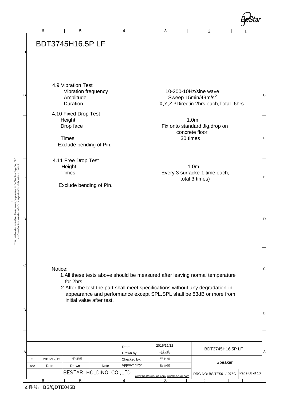|   | 6               | 5                                            | 4                  | 3                 |                                                                                                    |
|---|-----------------|----------------------------------------------|--------------------|-------------------|----------------------------------------------------------------------------------------------------|
|   |                 | <b>BDT3745H16.5PLF</b>                       |                    |                   |                                                                                                    |
|   |                 |                                              |                    |                   |                                                                                                    |
|   |                 |                                              |                    |                   |                                                                                                    |
|   |                 | 4.9 Vibration Test                           |                    |                   |                                                                                                    |
|   |                 | Vibration frequency<br>Amplitude<br>Duration |                    |                   | 10-200-10Hz/sine wave<br>Sweep 15min/49m/s <sup>2</sup><br>X, Y, Z 3Directin 2hrs each, Total 6hrs |
|   |                 | 4.10 Fixed Drop Test                         |                    |                   |                                                                                                    |
|   |                 | Height<br>Drop face                          |                    |                   | 1.0 <sub>m</sub><br>Fix onto standard Jig, drop on                                                 |
|   |                 | <b>Times</b>                                 |                    |                   | concrete floor<br>30 times                                                                         |
|   |                 | Exclude bending of Pin.                      |                    |                   |                                                                                                    |
|   |                 | 4.11 Free Drop Test<br>Height                |                    |                   | 1.0 <sub>m</sub>                                                                                   |
|   |                 | <b>Times</b>                                 |                    |                   | Every 3 surfacke 1 time each,<br>total 3 times)                                                    |
|   |                 | Exclude bending of Pin.                      |                    |                   |                                                                                                    |
|   |                 |                                              |                    |                   |                                                                                                    |
|   |                 |                                              |                    |                   |                                                                                                    |
|   |                 |                                              |                    |                   |                                                                                                    |
|   |                 |                                              |                    |                   |                                                                                                    |
|   |                 |                                              |                    |                   |                                                                                                    |
|   |                 |                                              |                    |                   |                                                                                                    |
|   | Notice:         |                                              |                    |                   | 1.All these tests above should be measured after leaving normal temperature                        |
|   |                 | for 2hrs.                                    |                    |                   | 2. After the test the part shall meet specifications without any degradation in                    |
|   |                 | initial value after test.                    |                    |                   | appearance and performance except SPL.SPL shall be 83dB or more from                               |
| В |                 |                                              |                    |                   |                                                                                                    |
|   |                 |                                              |                    |                   |                                                                                                    |
|   |                 |                                              |                    |                   |                                                                                                    |
| А |                 |                                              | Date:<br>Drawn by: | 2016/12/12<br>毛钰麒 | BDT3745H16.5PLF                                                                                    |
|   | C<br>2016/12/12 | 毛钰麒                                          | Checked by:        | 莫丽丽               |                                                                                                    |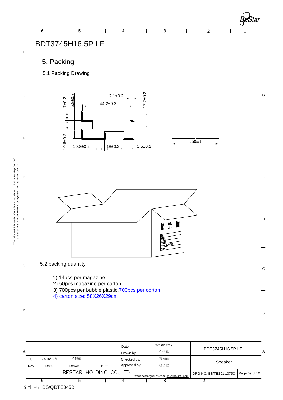

文件号: BS/QDTE045B